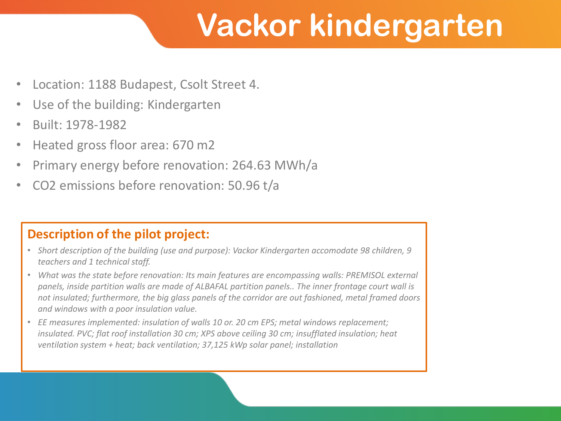# **Vackor kindergarten**

- Location: 1188 Budapest, Csolt Street 4.
- Use of the building: Kindergarten
- Built: 1978-1982
- Heated gross floor area: 670 m2
- Primary energy before renovation: 264.63 MWh/a
- CO2 emissions before renovation: 50.96 t/a

### **Description of the pilot project:**

- *Short description of the building (use and purpose): Vackor Kindergarten accomodate 98 children, 9 teachers and 1 technical staff.*
- *What was the state before renovation: Its main features are encompassing walls: PREMISOL external panels, inside partition walls are made of ALBAFAL partition panels.. The inner frontage court wall is not insulated; furthermore, the big glass panels of the corridor are out fashioned, metal framed doors and windows with a poor insulation value.*
- *EE measures implemented: insulation of walls 10 or. 20 cm EPS; metal windows replacement; insulated. PVC; flat roof installation 30 cm; XPS above ceiling 30 cm; insufflated insulation; heat ventilation system + heat; back ventilation; 37,125 kWp solar panel; installation*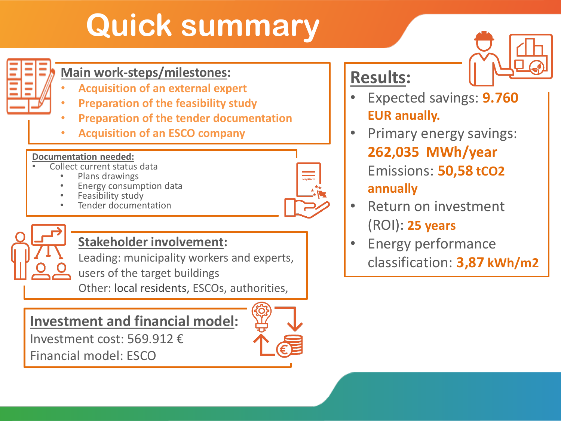# **Quick summary**

## **Main work-steps/milestones:**

- **Acquisition of an external expert**
- **Preparation of the feasibility study**
- **Preparation of the tender documentation**
- **Acquisition of an ESCO company**

#### **Documentation needed:**

- Collect current status data
	- Plans drawings
	- Energy consumption data
	- Feasibility study
	- Tender documentation



### **Stakeholder involvement:**

Leading: municipality workers and experts,

users of the target buildings

Other: local residents, ESCOs, authorities,

## **Investment and financial model:**

Investment cost: 569.912 € Financial model: ESCO



## **Results:**

- Expected savings: **9.760 EUR anually.**
- Primary energy savings: **262,035 MWh/year** Emissions: **50,58 tCO2 annually**
- Return on investment (ROI): **25 years**
- Energy performance classification: **3,87 kWh/m2**